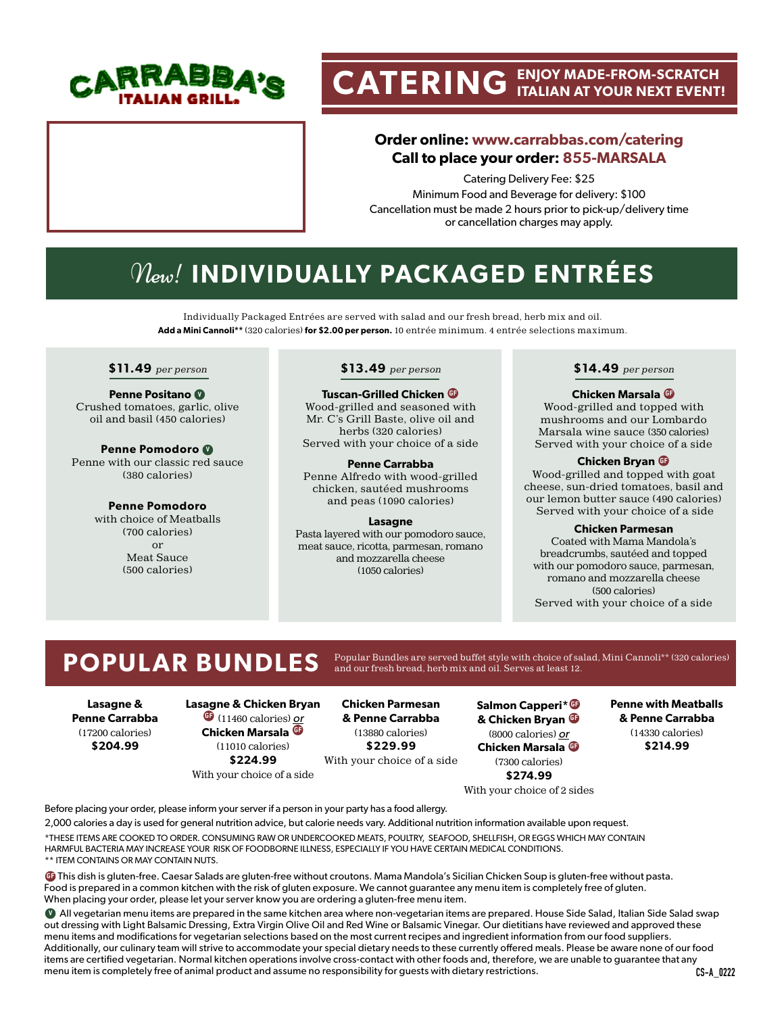

# **CATERING ENJOY MADE-FROM-SCRATCH ITALIAN AT YOUR NEXT EVENT!**

## **Order online: www.carrabbas.com/catering Call to place your order: 855-MARSALA**

Catering Delivery Fee: \$25 Minimum Food and Beverage for delivery: \$100 Cancellation must be made 2 hours prior to pick-up/delivery time or cancellation charges may apply.

# New! **INDIVIDUALLY PACKAGED ENTRÉES**

Individually Packaged Entrées are served with salad and our fresh bread, herb mix and oil. **Add a Mini Cannoli\*\*** (320 calories) **for \$2.00 per person.** 10 entrée minimum. 4 entrée selections maximum.

### **\$11.49** per person

**Penne Positano <sup>V</sup>** Crushed tomatoes, garlic, olive oil and basil (450 calories)

**Penne Pomodoro <sup>V</sup>** Penne with our classic red sauce (380 calories)

> **Penne Pomodoro**  with choice of Meatballs (700 calories) or Meat Sauce (500 calories)

### **\$13.49** per person

**Tuscan-Grilled Chicken GF** Wood-grilled and seasoned with Mr. C's Grill Baste, olive oil and herbs (320 calories) Served with your choice of a side

**Penne Carrabba** Penne Alfredo with wood-grilled chicken, sautéed mushrooms and peas (1090 calories)

### **Lasagne**

Pasta layered with our pomodoro sauce, meat sauce, ricotta, parmesan, romano and mozzarella cheese (1050 calories)

### **\$14.49** per person

### **Chicken Marsala GF**

Wood-grilled and topped with mushrooms and our Lombardo Marsala wine sauce (350 calories) Served with your choice of a side

### **Chicken Bryan GF**

Wood-grilled and topped with goat cheese, sun-dried tomatoes, basil and our lemon butter sauce (490 calories) Served with your choice of a side

### **Chicken Parmesan**

Coated with Mama Mandola's breadcrumbs, sautéed and topped with our pomodoro sauce, parmesan, romano and mozzarella cheese (500 calories) Served with your choice of a side

POPULAR BUNDLES Popular Bundles are served buffet style with choice of salad, Mini Cannoli\*\* (320 calories)

**Lasagne & Penne Carrabba** (17200 calories) **\$204.99**

### **Lasagne & Chicken Bryan GF** (11460 calories) or **Chicken Marsala GF** (11010 calories) **\$224.99**

With your choice of a side

**Chicken Parmesan & Penne Carrabba** (13880 calories) **\$229.99** With your choice of a side

**Salmon Capperi\* GF & Chicken Bryan GF** (8000 calories) or **Chicken Marsala GF** (7300 calories) **\$274.99**

**Penne with Meatballs & Penne Carrabba** (14330 calories) **\$214.99**

With your choice of 2 sides

Before placing your order, please inform your server if a person in your party has a food allergy.

2,000 calories a day is used for general nutrition advice, but calorie needs vary. Additional nutrition information available upon request. \*THESE ITEMS ARE COOKED TO ORDER. CONSUMING RAW OR UNDERCOOKED MEATS, POULTRY, SEAFOOD, SHELLFISH, OR EGGS WHICH MAY CONTAIN HARMFUL BACTERIA MAY INCREASE YOUR RISK OF FOODBORNE ILLNESS, ESPECIALLY IF YOU HAVE CERTAIN MEDICAL CONDITIONS. \*\* ITEM CONTAINS OR MAY CONTAIN NUTS.

**GF** This dish is gluten-free. Caesar Salads are gluten-free without croutons. Mama Mandola's Sicilian Chicken Soup is gluten-free without pasta. Food is prepared in a common kitchen with the risk of gluten exposure. We cannot guarantee any menu item is completely free of gluten. When placing your order, please let your server know you are ordering a gluten-free menu item.

**V** All vegetarian menu items are prepared in the same kitchen area where non-vegetarian items are prepared. House Side Salad, Italian Side Salad swap out dressing with Light Balsamic Dressing, Extra Virgin Olive Oil and Red Wine or Balsamic Vinegar. Our dietitians have reviewed and approved these menu items and modifications for vegetarian selections based on the most current recipes and ingredient information from our food suppliers. Additionally, our culinary team will strive to accommodate your special dietary needs to these currently offered meals. Please be aware none of our food items are certified vegetarian. Normal kitchen operations involve cross-contact with other foods and, therefore, we are unable to guarantee that any menu item is completely free of animal product and assume no responsibility for guests with dietary restrictions.